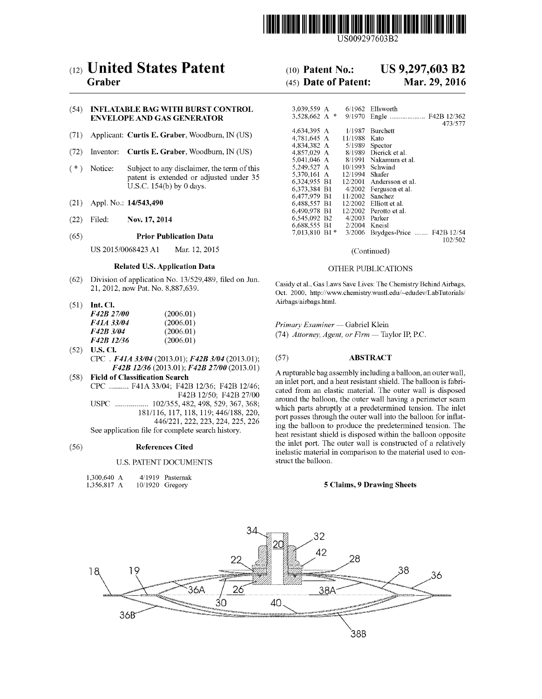

US009297603B2

# (12) United States Patent

# Graber

#### (54) INFLATABLE BAG WITH BURST CONTROL ENVELOPE AND GAS GENERATOR

- (71) Applicant: Curtis E. Graber, Woodburn, IN (US)
- (72) Inventor: Curtis E. Graber, Woodburn, IN (US)
- (\*) Notice: Subject to any disclaimer, the term of this patent is extended or adjusted under 35 U.S.C. 154(b) by 0 days.
- (21) Appl. No.: 14/543,490
- (22) Filed: Nov. 17, 2014

#### (65) Prior Publication Data

US 2015/OO68423 A1 Mar. 12, 2015

#### Related U.S. Application Data

- (62) Division of application No. 13/529,489, filed on Jun. 21, 2012, now Pat. No. 8,887,639.
- (51) Int. Cl.

| <i>F42B 27/00</i> | (2006.01) |
|-------------------|-----------|
| <i>F41A 33/04</i> | (2006.01) |
| F42B 3/04         | (2006.01) |
| F42B 12/36        | (2006.01) |

- (52) U.S. Cl. CPC. F41A 33/04 (2013.01); F42B 3/04 (2013.01); F42B 12/36 (2013.01); F42B 27/00 (2013.01)
- (58) Field of Classification Search CPC .......... F41A33/04: F42B 12/36; F42B 12/46; F42B 12/50. F42B 27/00 USPC ................. 102/355, 482,498, 529, 367, 368; 181/116, 117, 118, 119:446/188,220, 446/221, 222, 223, 224, 225, 226 See application file for complete search history.

#### (56) References Cited

#### U.S. PATENT DOCUMENTS

| 1,300,640 A |  | 4/1919 Pasternak  |
|-------------|--|-------------------|
| 1,356,817 A |  | $10/1920$ Gregory |

# (10) Patent No.: US 9,297,603 B2<br>(45) Date of Patent: Mar. 29, 2016

## $(45)$  Date of Patent:

| 3.039.559 A      |         | $6/1962$ Ellsworth        |
|------------------|---------|---------------------------|
| 3.528.662 A<br>啄 | 9/1970  |                           |
|                  |         | 473/577                   |
| 4,634,395 A      | 1/1987. | <b>Burchett</b>           |
| 4.781.645 A      | 11/1988 | Kato                      |
| 4.834.382 A      | 5/1989  | Spector                   |
| 4,857,029 A      | 8/1989  | Dierick et al.            |
| 5,041,046 A      | 8/1991  | Nakamura et al.           |
| 5.249,527 A      | 10/1993 | Schwind                   |
| 5.370.161 A      | 12/1994 | Shafer                    |
| 6,324,955 B1     | 12/2001 | Andersson et al.          |
| 6,373,384 B1     | 4/2002  | Ferguson et al.           |
| 6.477.979 B1     | 11/2002 | Sanchez                   |
| 6.488.557 B1     | 12/2002 | Elliott et al.            |
| 6,490,978 B1     | 12/2002 | Perotto et al.            |
| 6.545.092 B2     | 4/2003  | Parker                    |
| 6.688.555 B1     | 2/2004  | Kneisl                    |
| 7.013.810 B1*    | 3/2006  | Brydges-Price  F42B 12/54 |
|                  |         | 102/502                   |

(Continued)

#### OTHER PUBLICATIONS

Casidy et al., Gas Laws Save Lives: The Chemistry Behind Airbags, Oct. 2000, http://www.chemistry.wustl.edu/~edudev/LabTutorials/ Airbags/airbags.html.

Primary Examiner — Gabriel Klein (74) Attorney, Agent, or Firm — Taylor IP. P.C.

#### (57) ABSTRACT

A rupturable bagassembly including a balloon, an outer wall, an inlet port, and a heat resistant shield. The balloon is fabri around the balloon, the outer wall having a perimeter seam which parts abruptly at a predetermined tension. The inlet port passes through the outer wall into the balloon for inflat ing the balloon to produce the predetermined tension. The heat resistant shield is disposed within the balloon opposite the inlet port. The outer wall is constructed of a relatively inelastic material in comparison to the material used to con struct the balloon.

#### 5 Claims, 9 Drawing Sheets

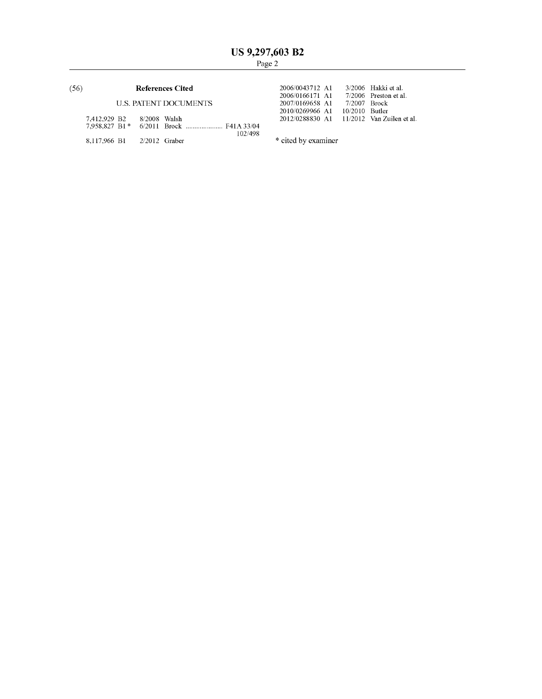#### (56) **References Cited** 2006/0043712 A1  $\frac{3}{2006}$  Hakki et al.

| 7,412,929 B2 8/2008 Walsh |  |         |  | 2012/0288830 A1 11/2012 Van Zuilen et al. |
|---------------------------|--|---------|--|-------------------------------------------|
|                           |  |         |  |                                           |
|                           |  | 102/498 |  |                                           |

8,117,966 B1  $2/2012$  Graber \* cited by examiner

2006/0166171 A1 7/2006 Preston et al.<br>
2007/0169658 A1 7/2007 Brock<br>
2010/0269966 A1 10/2010 Butler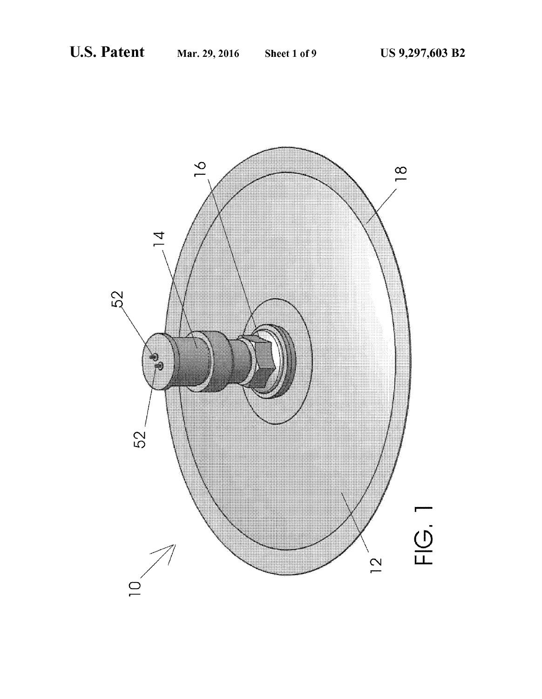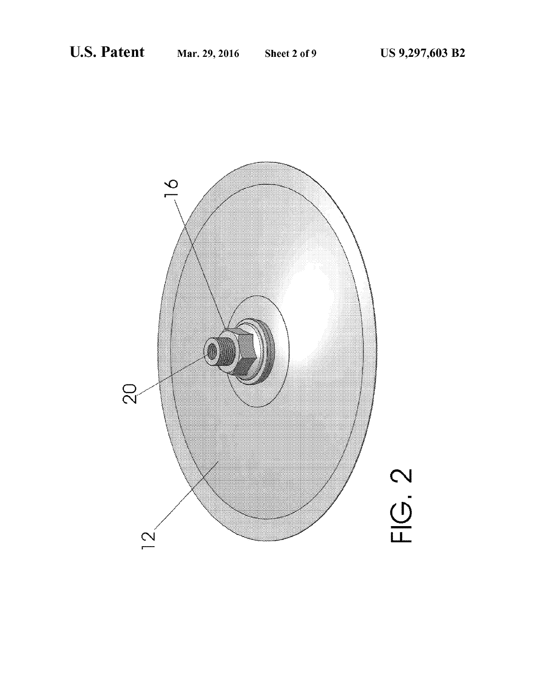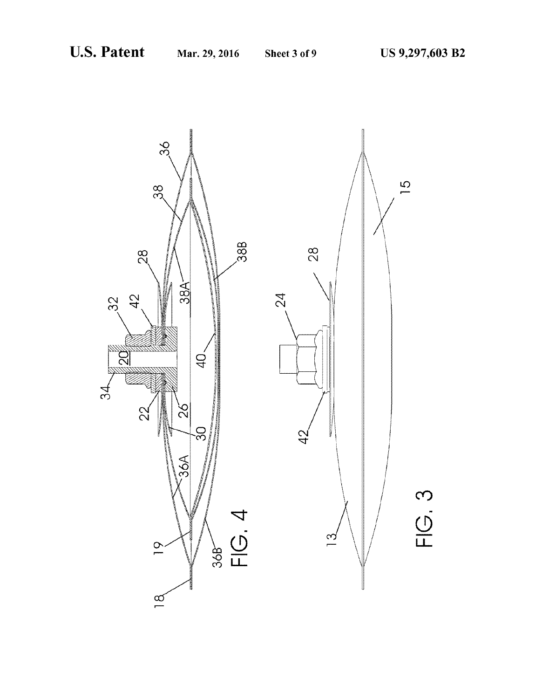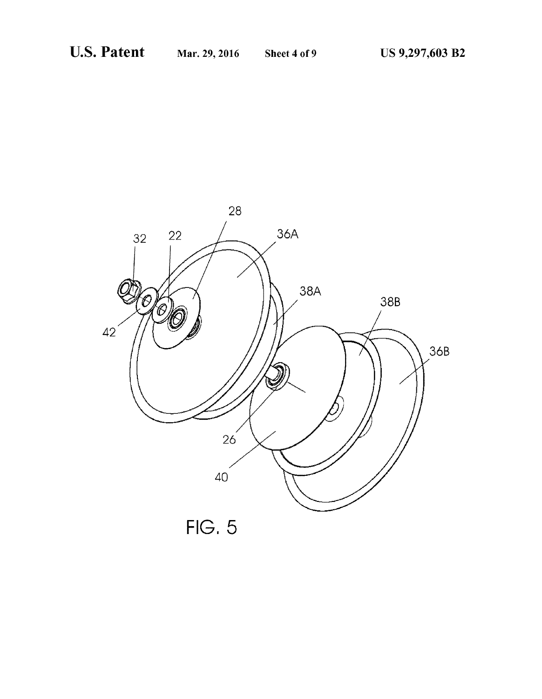

 $FIG. 5$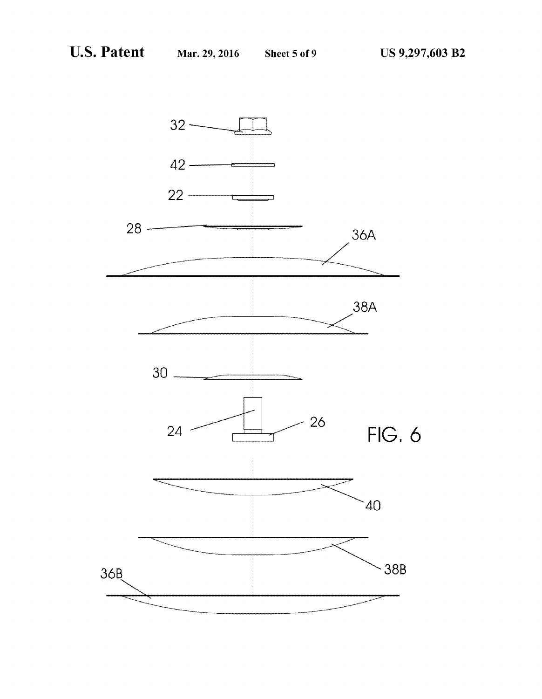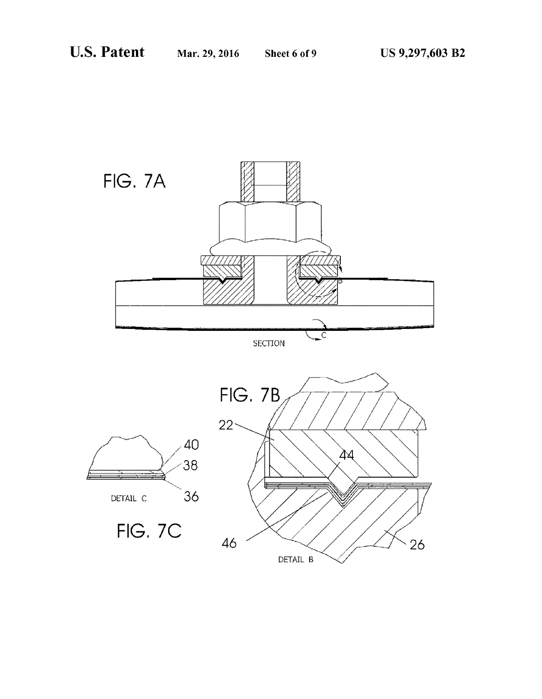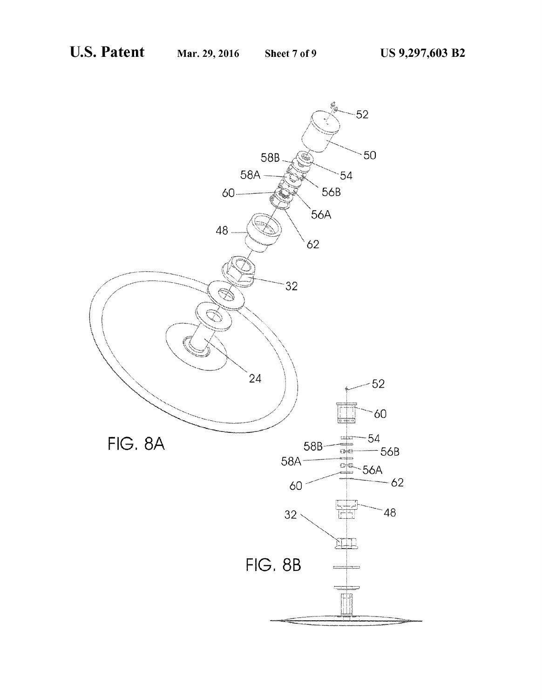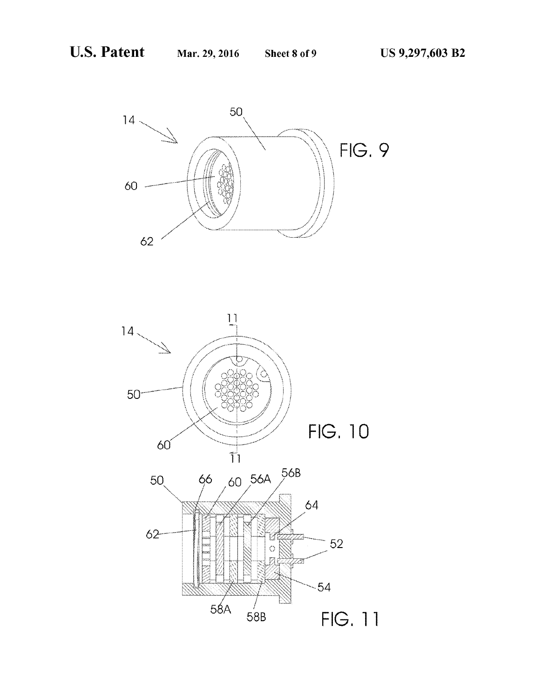

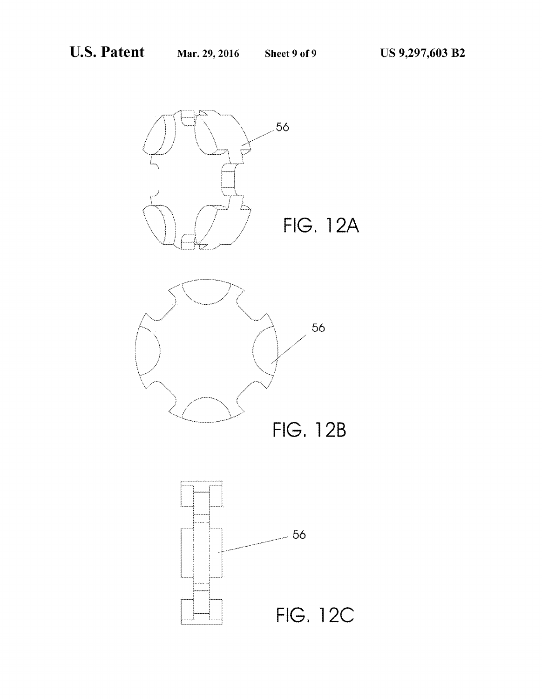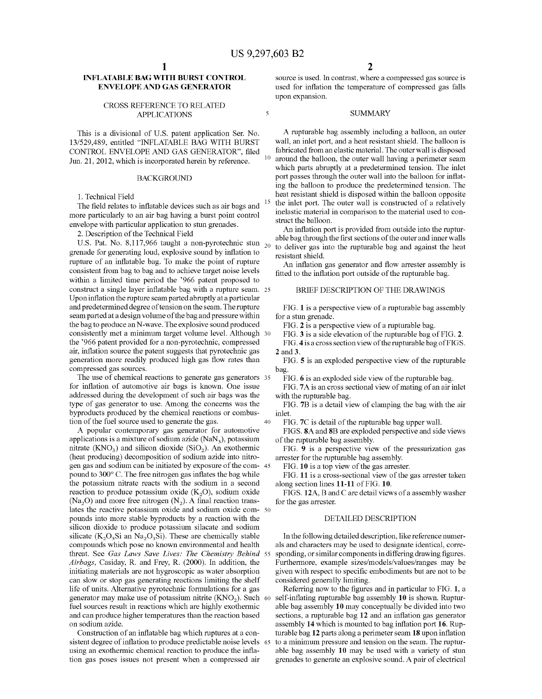10

 $\overline{\mathbf{S}}$ 

15

65

### NFLATABLE BAG WITH BURST CONTROL ENVELOPE AND GAS GENERATOR

#### CROSS REFERENCE TO RELATED APPLICATIONS

This is a divisional of U.S. patent application Ser. No. 13/529,489, entitled "INFLATABLE BAG WITH BURST CONTROL ENVELOPE AND GAS GENERATOR", filed Jun. 21, 2012, which is incorporated herein by reference.

#### BACKGROUND

1. Technical Field

The field relates to inflatable devices such as air bags and more particularly to an air bag having a burst point control envelope with particular application to stun grenades.

2. Description of the Technical Field

U.S. Pat. No. 8,117,966 taught a non-pyrotechnic stun  $_{20}$ grenade for generating loud, explosive sound by inflation to rupture of an inflatable bag. To make the point of rupture consistent from bag to bag and to achieve target noise levels within a limited time period the '966 patent proposed to construct a single layer inflatable bag with a rupture seam. 25 Upon inflation the rupture seam parted abruptly at a particular and predetermined degree of tension on the seam. The rupture seam parted at a design volume of the bag and pressure within<br>the bag to produce an N-wave. The explosive sound produced the bag to produce an N-wave. The explosive sound produced<br>consistently met a minimum target volume level. Although<br>the '966 patent provided for a non-pyrotechnic, compressed air, inflation source the patent suggests that pyrotechnic gas generation more readily produced high gas flow rates than compressed gas sources. 30

The use of chemical reactions to generate gas generators 35 for inflation of automotive air bags is known. One issue addressed during the development of Such air bags was the type of gas generator to use. Among the concerns was the byproducts produced by the chemical reactions or combus tion of the fuel source used to generate the gas. 40

A popular contemporary gas generator for automotive applications is a mixture of sodium azide  $(NaN<sub>3</sub>)$ , potassium nitrate  $(KNO<sub>3</sub>)$  and silicon dioxide  $(SIO<sub>2</sub>)$ . An exothermic (heat producing) decomposition of sodium azide into nitrogen gas and sodium can be initiated by exposure of the com- 45 pound to 300°C. The free nitrogen gas inflates the bag while the potassium nitrate reacts with the Sodium in a second reaction to produce potassium oxide  $(K_2O)$ , sodium oxide (Na<sub>2</sub>O) and more free nitrogen (N<sub>2</sub>). A final reaction translates the reactive potassium oxide and sodium oxide com- 50 pounds into more stable byproducts by a reaction with the silicon dioxide to produce potassium silacate and sodium silicate  $(K_2O_3Si$  an Na<sub>2</sub>O<sub>3</sub>Si). These are chemically stable compounds which pose no known environmental and health threat. See Gas Laws Save Lives: The Chemistry Behind 55 Airbags, Casiday, R. and Frey, R. (2000). In addition, the initiating materials are not hygroscopic as water absorption can slow or stop gas generating reactions limiting the shelf life of units. Alternative pyrotechnic formulations for a gas generator may make use of potassium nitrite  $(KNO<sub>2</sub>)$ . Such 60 fuel sources result in reactions which are highly exothermic and can produce higher temperatures than the reaction based on sodium azide.

Construction of an inflatable bag which ruptures at a con sistent degree of inflation to produce predictable noise levels using an exothermic chemical reaction to produce the infla tion gas poses issues not present when a compressed air

source is used. In contrast, where a compressed gas source is used for inflation the temperature of compressed gas falls upon expansion.

#### **SUMMARY**

A rupturable bag assembly including a balloon, an outer wall, an inlet port, and a heat resistant shield. The balloon is fabricated from an elastic material. The outer wall is disposed around the balloon, the outer wall having a perimeter seam which parts abruptly at a predetermined tension. The inlet port passes through the outer wall into the balloon for inflat ing the balloon to produce the predetermined tension. The heat resistant shield is disposed within the balloon opposite the inlet port. The outer wall is constructed of a relatively inelastic material in comparison to the material used to con struct the balloon.

An inflation port is provided from outside into the ruptur able bag through the first sections of the outer and inner walls to deliver gas into the rupturable bag and against the heat resistant shield.

An inflation gas generator and flow arrester assembly is fitted to the inflation port outside of the rupturable bag.

#### BRIEF DESCRIPTION OF THE DRAWINGS

FIG. 1 is a perspective view of a rupturable bag assembly for a stun grenade.

FIG. 2 is a perspective view of a rupturable bag.

FIG. 3 is a side elevation of the rupturable bag of FIG. 2.

FIG. 4 is a cross section view of the rupturable bag of FIGS. 2 and 3.

FIG. 5 is an exploded perspective view of the rupturable bag.

FIG. 6 is an exploded side view of the rupturable bag.

FIG. 7A is an cross sectional view of mating of an air inlet with the rupturable bag.

FIG. 7B is a detail view of clamping the bag with the air inlet.

FIG.7C is detail of the rupturable bag upper wall.

FIGS. 8A and 8B are exploded perspective and side views of the rupturable bag assembly.

FIG. 9 is a perspective view of the pressurization gas arrester for the rupturable bag assembly.

FIG. 10 is a top view of the gas arrester.

FIG. 11 is a cross-sectional view of the gas arrester taken along section lines 11-11 of FIG. 10.

FIGS. 12A, B and C are detail views of a assembly washer for the gas arrester.

#### DETAILED DESCRIPTION

In the following detailed description, like reference numer als and characters may be used to designate identical, corre sponding, or similar components in differing drawing figures. Furthermore, example sizes/models/values/ranges may be given with respect to specific embodiments but are not to be considered generally limiting.

Referring now to the figures and in particular to FIG. 1, a self-inflating rupturable bag assembly 10 is shown. Ruptur able bag assembly 10 may conceptually be divided into two sections, a rupturable bag 12 and an inflation gas generator assembly 14 which is mounted to bag inflation port 16. Rup turable bag 12 parts along a perimeter seam 18 upon inflation<br>to a minimum pressure and tension on the seam. The rupturable bag assembly 10 may be used with a variety of stun grenades to generate an explosive sound. A pair of electrical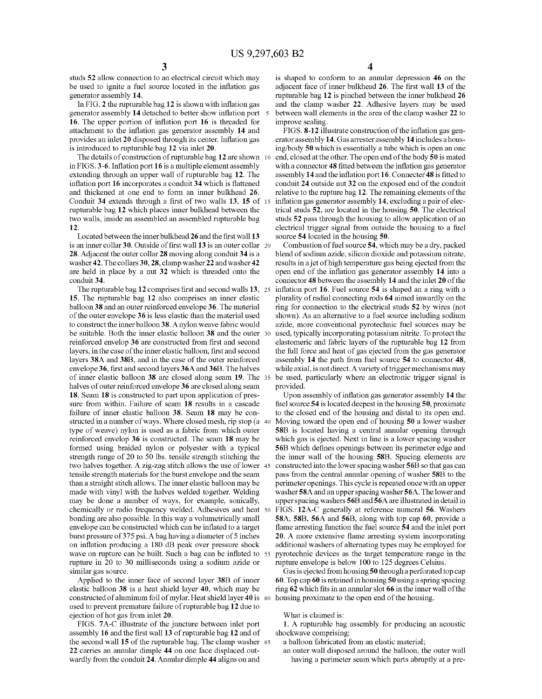studs 52 allow connection to an electrical circuit which may be used to ignite a fuel source located in the inflation gas generator assembly 14.

In FIG. 2 the rupturable bag 12 is shown with inflation gas generator assembly 14 detached to better show inflation port 5 16. The upper portion of inflation port 16 is threaded for attachment to the inflation gas generator assembly 14 and provides an inlet 20 disposed through its center. Inflation gas is introduced to rupturable bag 12 via inlet 20.

The details of construction of rupturable bag 12 are shown 10 in FIGS. 3-6. Inflation port 16 is a multiple element assembly extending through an upper wall of rupturable bag 12. The inflation port 16 incorporates a conduit 34 which is flattened and thickened at one end to form an inner bulkhead 26. Conduit  $34$  extends through a first of two walls  $13$ ,  $15$  of 15 rupturable bag 12 which places inner bulkhead between the two walls, inside an assembled an assembled rupturable bag 12.

Located between the inner bulkhead 26 and the first wall 13 is an inner collar 30. Outside of first wall 13 is an outer collar 28. Adjacent the outer collar 28 moving along conduit 34 is a washer 42. The collars 30, 28, clamp washer 22 and washer 42 are held in place by a nut 32 which is threaded onto the conduit 34.

The rupturable bag 12 comprises first and second walls 13, 25 15. The rupturable bag 12 also comprises an inner elastic balloon 38 and an outer reinforced envelope 36. The material of the outer envelope 36 is less elastic than the material used to construct the inner balloon 38. A nylon weave fabric would be suitable. Both the inner elastic balloon 38 and the outer 30 reinforced envelop 36 are constructed from first and second layers, in the case of the inner elastic balloon, first and second layers 38A and 38B, and in the case of the outer reinforced envelope 36, first and second layers 36A and 36B. The halves of inner elastic balloon  $38$  are closed along seam  $19$ . The  $35$ halves of outer reinforced envelope 36 are closed along seam 18. Seam 18 is constructed to part upon application of pressure from within. Failure of seam 18 results in a cascade failure of inner elastic balloon 38. Seam 18 may be con structed in a number of ways. Where closed mesh, rip stop (a 40 type of weave) nylon is used as a fabric from which outer reinforced envelop 36 is constructed. The seam 18 may be formed using braided nylon or polyester with a typical strength range of 20 to 50 lbs. tensile strength stitching the two halves together. A Zig-Zag Stitch allows the use of lower 45 tensile strength materials for the burst envelope and the seam than a straight stitch allows. The inner elastic balloon may be made with vinyl with the halves welded together. Welding may be done a number of ways, for example, sonically, chemically or radio frequency welded. Adhesives and heat 50 bonding are also possible. In this way a volumetrically small envelope can be constructed which can be inflated to a target burst pressure of 375 psi. A bag having a diameter of 5 inches on inflation producing a 180 dB peak over pressure shock wave on rupture can be built. Such a bag can be inflated to 55 rupture in 20 to 30 milliseconds using a sodium azide or similar gas source.

Applied to the inner face of second layer 38B of inner elastic balloon 38 is a heat shield layer 40, which may be constructed of aluminum foil of mylar. Heat shield layer 40 is 60 used to prevent premature failure of rupturable bag 12 due to ejection of hot gas from inlet 20.

FIGS. 7A-C illustrate of the juncture between inlet port assembly 16 and the first wall 13 of rupturable bag 12 and of the second wall 15 of the rupturable bag. The clamp washer 65 22 carries an annular dimple 44 on one face displaced out wardly from the conduit 24. Annular dimple 44 aligns on and

is shaped to conform to an annular depression 46 on the adjacent face of inner bulkhead 26. The first wall 13 of the rupturable bag 12 is pinched between the inner bulkhead 26 and the clamp washer 22. Adhesive layers may be used between wall elements in the area of the clamp washer 22 to improve sealing.

FIGS. 8-12 illustrate construction of the inflation gas gen erator assembly 14. Gas arrester assembly 14 includes a hous ing/body 50 which is essentially a tube which is open an one end, closed at the other. The open end of the body 50 is mated with a connector 48 fitted between the inflation gas generator assembly 14 and the inflation port 16. Connecter 48 is fitted to conduit 24 outside nut 32 on the exposed end of the conduit relative to the rupture bag 12. The remaining elements of the inflation gas generator assembly 14, excluding a pair of elec trical studs 52, are located in the housing 50. The electrical studs 52 pass through the housing to allow application of an electrical trigger signal from outside the housing to a fuel source 54 located in the housing 50.

Combustion of fuel source 54, which may be a dry, packed blend of sodium azide, silicon dioxide and potassium nitrate, results in a jet of high temperature gas being ejected from the open end of the inflation gas generator assembly 14 into a connector 48 between the assembly 14 and the inlet 20 of the inflation port 16. Fuel source 54 is shaped an a ring with a plurality of radial connecting rods 64 aimed inwardly on the ring for connection to the electrical studs 52 by wires (not shown). As an alternative to a fuel source including sodium azide, more conventional pyrotechnic fuel sources may be used, typically incorporating potassium nitrite. To protect the elastomeric and fabric layers of the rupturable bag 12 from the full force and heat of gas ejected from the gas generator assembly 14 the path from fuel source 54 to connector 48, while axial, is not direct. A variety of trigger mechanisms may be used, particularly where an electronic trigger signal is provided.

Upon assembly of inflation gas generator assembly 14 the fuel source 54 is located deepest in the housing 50, proximate to the closed end of the housing and distal to its open end. Moving toward the open end of housing 50 a lower washer<br>58B is located having a central annular opening through which gas is ejected. Next in line is a lower spacing washer 56B which defines openings between its perimeter edge and the inner wall of the housing 58B. Spacing elements are constructed into the lower spacing washer 56B so that gas can pass from the central annular opening of washer 58B to the perimeter openings. This cycle is repeated once with an upper washer 58A and an upper spacing washer 56A. The lower and upper spacing washers 56B and 56A are illustrated in detail in FIGS. 12A-C generally at reference numeral 56. Washers 58A, 58B, 56A and 56B, along with top cap 60, provide a flame arresting function the fuel source 54 and the inlet port **20**. A more extensive flame arresting system incorporating additional washers of alternating types may be employed for pyrotechnic devices as the target temperature range in the rupture envelope is below 100 to 125 degrees Celsius.

Gas is ejected from housing 50 through a perforated top cap 60. Top cap 60 is retained in housing 50 using a spring spacing ring 62 which fits in an annular slot 66 in the inner wall of the housing proximate to the open end of the housing.

#### What is claimed is:

1. A rupturable bag assembly for producing an acoustic shockwave comprising:

a balloon fabricated from an elastic material;

an outer wall disposed around the balloon, the outer wall having a perimeter seam which parts abruptly at a pre